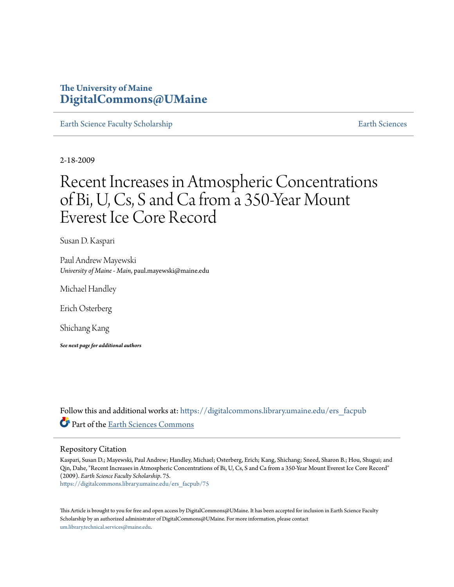# **The University of Maine [DigitalCommons@UMaine](https://digitalcommons.library.umaine.edu?utm_source=digitalcommons.library.umaine.edu%2Fers_facpub%2F75&utm_medium=PDF&utm_campaign=PDFCoverPages)**

[Earth Science Faculty Scholarship](https://digitalcommons.library.umaine.edu/ers_facpub?utm_source=digitalcommons.library.umaine.edu%2Fers_facpub%2F75&utm_medium=PDF&utm_campaign=PDFCoverPages) **[Earth Sciences](https://digitalcommons.library.umaine.edu/ers?utm_source=digitalcommons.library.umaine.edu%2Fers_facpub%2F75&utm_medium=PDF&utm_campaign=PDFCoverPages)** 

2-18-2009

# Recent Increases in Atmospheric Concentrations of Bi, U, Cs, S and Ca from a 350-Year Mount Everest Ice Core Record

Susan D. Kaspari

Paul Andrew Mayewski *University of Maine - Main*, paul.mayewski@maine.edu

Michael Handley

Erich Osterberg

Shichang Kang

*See next page for additional authors*

Follow this and additional works at: [https://digitalcommons.library.umaine.edu/ers\\_facpub](https://digitalcommons.library.umaine.edu/ers_facpub?utm_source=digitalcommons.library.umaine.edu%2Fers_facpub%2F75&utm_medium=PDF&utm_campaign=PDFCoverPages) Part of the [Earth Sciences Commons](http://network.bepress.com/hgg/discipline/153?utm_source=digitalcommons.library.umaine.edu%2Fers_facpub%2F75&utm_medium=PDF&utm_campaign=PDFCoverPages)

### Repository Citation

Kaspari, Susan D.; Mayewski, Paul Andrew; Handley, Michael; Osterberg, Erich; Kang, Shichang; Sneed, Sharon B.; Hou, Shugui; and Qin, Dahe, "Recent Increases in Atmospheric Concentrations of Bi, U, Cs, S and Ca from a 350-Year Mount Everest Ice Core Record" (2009). *Earth Science Faculty Scholarship*. 75. [https://digitalcommons.library.umaine.edu/ers\\_facpub/75](https://digitalcommons.library.umaine.edu/ers_facpub/75?utm_source=digitalcommons.library.umaine.edu%2Fers_facpub%2F75&utm_medium=PDF&utm_campaign=PDFCoverPages)

This Article is brought to you for free and open access by DigitalCommons@UMaine. It has been accepted for inclusion in Earth Science Faculty Scholarship by an authorized administrator of DigitalCommons@UMaine. For more information, please contact [um.library.technical.services@maine.edu](mailto:um.library.technical.services@maine.edu).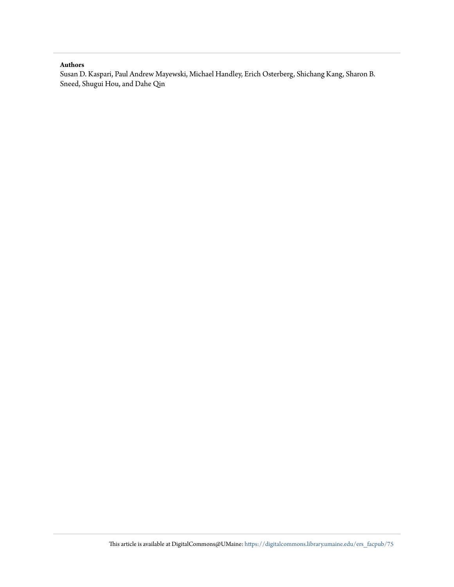# **Authors**

Susan D. Kaspari, Paul Andrew Mayewski, Michael Handley, Erich Osterberg, Shichang Kang, Sharon B. Sneed, Shugui Hou, and Dahe Qin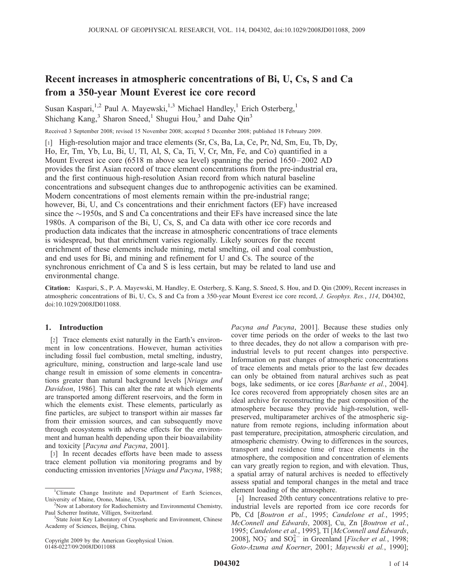# Recent increases in atmospheric concentrations of Bi, U, Cs, S and Ca from a 350-year Mount Everest ice core record

Susan Kaspari,<sup>1,2</sup> Paul A. Mayewski,<sup>1,3</sup> Michael Handley,<sup>1</sup> Erich Osterberg,<sup>1</sup> Shichang Kang, $3$  Sharon Sneed,<sup>1</sup> Shugui Hou, $3$  and Dahe Qin<sup>3</sup>

Received 3 September 2008; revised 15 November 2008; accepted 5 December 2008; published 18 February 2009.

[1] High-resolution major and trace elements (Sr, Cs, Ba, La, Ce, Pr, Nd, Sm, Eu, Tb, Dy, Ho, Er, Tm, Yb, Lu, Bi, U, Tl, Al, S, Ca, Ti, V, Cr, Mn, Fe, and Co) quantified in a Mount Everest ice core (6518 m above sea level) spanning the period 1650–2002 AD provides the first Asian record of trace element concentrations from the pre-industrial era, and the first continuous high-resolution Asian record from which natural baseline concentrations and subsequent changes due to anthropogenic activities can be examined. Modern concentrations of most elements remain within the pre-industrial range; however, Bi, U, and Cs concentrations and their enrichment factors (EF) have increased since the  $\sim$ 1950s, and S and Ca concentrations and their EFs have increased since the late 1980s. A comparison of the Bi, U, Cs, S, and Ca data with other ice core records and production data indicates that the increase in atmospheric concentrations of trace elements is widespread, but that enrichment varies regionally. Likely sources for the recent enrichment of these elements include mining, metal smelting, oil and coal combustion, and end uses for Bi, and mining and refinement for U and Cs. The source of the synchronous enrichment of Ca and S is less certain, but may be related to land use and environmental change.

Citation: Kaspari, S., P. A. Mayewski, M. Handley, E. Osterberg, S. Kang, S. Sneed, S. Hou, and D. Qin (2009), Recent increases in atmospheric concentrations of Bi, U, Cs, S and Ca from a 350-year Mount Everest ice core record, J. Geophys. Res., 114, D04302, doi:10.1029/2008JD011088.

# 1. Introduction

[2] Trace elements exist naturally in the Earth's environment in low concentrations. However, human activities including fossil fuel combustion, metal smelting, industry, agriculture, mining, construction and large-scale land use change result in emission of some elements in concentrations greater than natural background levels [Nriagu and Davidson, 1986]. This can alter the rate at which elements are transported among different reservoirs, and the form in which the elements exist. These elements, particularly as fine particles, are subject to transport within air masses far from their emission sources, and can subsequently move through ecosystems with adverse effects for the environment and human health depending upon their bioavailability and toxicity [Pacyna and Pacyna, 2001].

[3] In recent decades efforts have been made to assess trace element pollution via monitoring programs and by conducting emission inventories [Nriagu and Pacyna, 1988;

Copyright 2009 by the American Geophysical Union. 0148-0227/09/2008JD011088

Pacyna and Pacyna, 2001]. Because these studies only cover time periods on the order of weeks to the last two to three decades, they do not allow a comparison with preindustrial levels to put recent changes into perspective. Information on past changes of atmospheric concentrations of trace elements and metals prior to the last few decades can only be obtained from natural archives such as peat bogs, lake sediments, or ice cores [Barbante et al., 2004]. Ice cores recovered from appropriately chosen sites are an ideal archive for reconstructing the past composition of the atmosphere because they provide high-resolution, wellpreserved, multiparameter archives of the atmospheric signature from remote regions, including information about past temperature, precipitation, atmospheric circulation, and atmospheric chemistry. Owing to differences in the sources, transport and residence time of trace elements in the atmosphere, the composition and concentration of elements can vary greatly region to region, and with elevation. Thus, a spatial array of natural archives is needed to effectively assess spatial and temporal changes in the metal and trace element loading of the atmosphere.

[4] Increased 20th century concentrations relative to preindustrial levels are reported from ice core records for Pb, Cd [Boutron et al., 1995; Candelone et al., 1995; McConnell and Edwards, 2008], Cu, Zn [Boutron et al., 1995; Candelone et al., 1995], Tl [McConnell and Edwards, 2008], NO<sub>3</sub> and SO<sub>4</sub><sup>-</sup> in Greenland [*Fischer et al.*, 1998; Goto-Azuma and Koerner, 2001; Mayewski et al., 1990];

<sup>&</sup>lt;sup>1</sup>Climate Change Institute and Department of Earth Sciences, University of Maine, Orono, Maine, USA. <sup>2</sup>

<sup>&</sup>lt;sup>2</sup>Now at Laboratory for Radiochemistry and Environmental Chemistry, Paul Scherrer Institute, Villigen, Switzerland.

<sup>&</sup>lt;sup>3</sup>State Joint Key Laboratory of Cryospheric and Environment, Chinese Academy of Sciences, Beijing, China.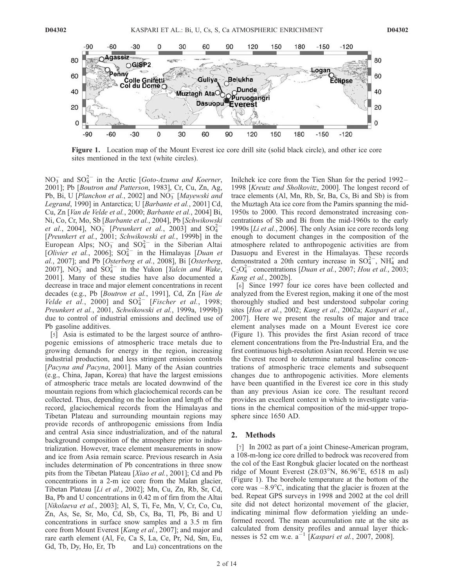

Figure 1. Location map of the Mount Everest ice core drill site (solid black circle), and other ice core sites mentioned in the text (white circles).

 $NO_3^-$  and  $SO_4^{2-}$  in the Arctic [*Goto-Azuma and Koerner*, 2001]; Pb [Boutron and Patterson, 1983], Cr, Cu, Zn, Ag, Pb, Bi, U [Planchon et al., 2002] and  $\overline{NO_3}$  [Mayewski and Legrand, 1990] in Antarctica; U [Barbante et al., 2001] Cd, Cu, Zn [Van de Velde et al., 2000; Barbante et al., 2004] Bi, Ni, Co, Cr, Mo, Sb [Barbante et al., 2004], Pb [Schwikowski *et al.*, 2004],  $NO_3^-$  [*Preunkert et al.*, 2003] and  $SO_4^{2-}$ [Preunkert et al., 2001; Schwikowski et al., 1999b] in the European Alps;  $NO_3^-$  and  $SO_4^{2-}$  in the Siberian Altai [Olivier et al., 2006];  $SO_4^{2-}$  in the Himalayas [Duan et al., 2007]; and Pb [Osterberg et al., 2008], Bi [Osterberg, 2007],  $\overline{NO_3}$  and  $\overline{SO_4^{2-}}$  in the Yukon [*Yalcin and Wake*, 2001]. Many of these studies have also documented a decrease in trace and major element concentrations in recent decades (e.g., Pb [Boutron et al., 1991], Cd, Zn [Van de Velde et al., 2000] and  $SO_4^{2-}$  [Fischer et al., 1998; Preunkert et al., 2001, Schwikowski et al., 1999a, 1999b]) due to control of industrial emissions and declined use of Pb gasoline additives.

[5] Asia is estimated to be the largest source of anthropogenic emissions of atmospheric trace metals due to growing demands for energy in the region, increasing industrial production, and less stringent emission controls [Pacyna and Pacyna, 2001]. Many of the Asian countries (e.g., China, Japan, Korea) that have the largest emissions of atmospheric trace metals are located downwind of the mountain regions from which glaciochemical records can be collected. Thus, depending on the location and length of the record, glaciochemical records from the Himalayas and Tibetan Plateau and surrounding mountain regions may provide records of anthropogenic emissions from India and central Asia since industrialization, and of the natural background composition of the atmosphere prior to industrialization. However, trace element measurements in snow and ice from Asia remain scarce. Previous research in Asia includes determination of Pb concentrations in three snow pits from the Tibetan Plateau [Xiao et al., 2001]; Cd and Pb concentrations in a 2-m ice core from the Malan glacier, Tibetan Plateau [Li et al., 2002]; Mn, Cu, Zn, Rb, Sr, Cd, Ba, Pb and U concentrations in 0.42 m of firn from the Altai [Nikolaeva et al., 2003]; Al, S, Ti, Fe, Mn, V, Cr, Co, Cu, Zn, As, Se, Sr, Mo, Cd, Sb, Cs, Ba, Tl, Pb, Bi and U concentrations in surface snow samples and a 3.5 m firn core from Mount Everest [Kang et al., 2007]; and major and rare earth element (Al, Fe, Ca S, La, Ce, Pr, Nd, Sm, Eu, Gd, Tb, Dy, Ho, Er, Tb and Lu) concentrations on the

Inilchek ice core from the Tien Shan for the period 1992– 1998 [Kreutz and Sholkovitz, 2000]. The longest record of trace elements (Al, Mn, Rb, Sr, Ba, Cs, Bi and Sb) is from the Muztagh Ata ice core from the Pamirs spanning the mid-1950s to 2000. This record demonstrated increasing concentrations of Sb and Bi from the mid-1960s to the early 1990s [Li et al., 2006]. The only Asian ice core records long enough to document changes in the composition of the atmosphere related to anthropogenic activities are from Dasuopu and Everest in the Himalayas. These records demonstrated a 20th century increase in  $SO_4^{2-}$ , NH<sub>4</sub> and  $C_2O_4^{2-}$  concentrations [*Duan et al.*, 2007; *Hou et al.*, 2003; Kang et al., 2002b].

[6] Since 1997 four ice cores have been collected and analyzed from the Everest region, making it one of the most thoroughly studied and best understood subpolar coring sites [Hou et al., 2002; Kang et al., 2002a; Kaspari et al., 2007]. Here we present the results of major and trace element analyses made on a Mount Everest ice core (Figure 1). This provides the first Asian record of trace element concentrations from the Pre-Industrial Era, and the first continuous high-resolution Asian record. Herein we use the Everest record to determine natural baseline concentrations of atmospheric trace elements and subsequent changes due to anthropogenic activities. More elements have been quantified in the Everest ice core in this study than any previous Asian ice core. The resultant record provides an excellent context in which to investigate variations in the chemical composition of the mid-upper troposphere since 1650 AD.

#### 2. Methods

[7] In 2002 as part of a joint Chinese-American program, a 108-m-long ice core drilled to bedrock was recovered from the col of the East Rongbuk glacier located on the northeast ridge of Mount Everest  $(28.03^{\circ}N, 86.96^{\circ}E, 6518 \text{ m asl})$ (Figure 1). The borehole temperature at the bottom of the core was  $-8.9^{\circ}$ C, indicating that the glacier is frozen at the bed. Repeat GPS surveys in 1998 and 2002 at the col drill site did not detect horizontal movement of the glacier, indicating minimal flow deformation yielding an undeformed record. The mean accumulation rate at the site as calculated from density profiles and annual layer thicknesses is 52 cm w.e.  $a^{-1}$  [*Kaspari et al.*, 2007, 2008].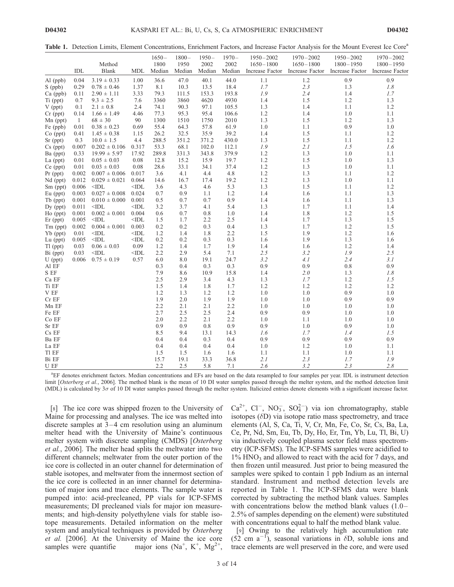Table 1. Detection Limits, Element Concentrations, Enrichment Factors, and Increase Factor Analysis for the Mount Everest Ice Core<sup>a</sup>

|                    |       |                            |                 | $1650-$        | $1800 -$       | $1950 -$       | $1970 -$       | $1950 - 2002$                    | $1970 - 2002$                    | $1950 - 2002$                    | $1970 - 2002$                    |
|--------------------|-------|----------------------------|-----------------|----------------|----------------|----------------|----------------|----------------------------------|----------------------------------|----------------------------------|----------------------------------|
|                    | IDL   | Method<br>Blank            | <b>MDL</b>      | 1800<br>Median | 1950<br>Median | 2002<br>Median | 2002<br>Median | $1650 - 1800$<br>Increase Factor | $1650 - 1800$<br>Increase Factor | $1800 - 1950$<br>Increase Factor | $1800 - 1950$<br>Increase Factor |
| Al (ppb)           | 0.04  | $3.19 \pm 0.33$            | 1.00            | 36.6           | 47.0           | 40.1           | 44.0           | 1.1                              | $1.2\,$                          | 0.9                              | 0.9                              |
| S (ppb)            | 0.29  | $0.78 \pm 0.46$            | 1.37            | 8.1            | 10.3           | 13.5           | 18.4           | 1.7                              | 2.3                              | 1.3                              | 1.8                              |
| Ca (ppb)           | 0.11  | $2.90 \pm 1.11$            | 3.33            | 79.3           | 111.5          | 153.3          | 193.8          | 1.9                              | 2.4                              | 1.4                              | 1.7                              |
| Ti (ppt)           | 0.7   | $9.3 \pm 2.5$              | 7.6             | 3360           | 3860           | 4620           | 4930           | 1.4                              | 1.5                              | 1.2                              | 1.3                              |
| $V$ (ppt)          | 0.1   | $2.1 \pm 0.8$              | 2.4             | 74.1           | 90.3           | 97.1           | 105.5          | 1.3                              | 1.4                              | 1.1                              | 1.2                              |
| $Cr$ (ppt)         | 0.14  | $1.66 \pm 1.49$            | 4.46            | 77.3           | 95.3           | 95.4           | 106.6          | 1.2                              | 1.4                              | 1.0                              | 1.1                              |
| $Mn$ (ppt)         | -1    | $68 \pm 30$                | 90              | 1300           | 1510           | 1750           | 2010           | 1.3                              | 1.5                              | 1.2                              | 1.3                              |
| Fe (ppb)           | 0.01  | $0.38 \pm 0.23$            | 0.69            | 55.4           | 64.3           | 57.8           | 61.9           | 1.0                              | 1.1                              | 0.9                              | 1.0                              |
| Co (ppt)           | 0.41  | $1.45 \pm 0.38$            | 1.15            | 26.2           | 32.5           | 35.9           | 39.2           | 1.4                              | 1.5                              | 1.1                              | 1.2                              |
| Sr (ppt)           | 0.3   | $10.0 \pm 1.5$             | 4.4             | 288.5          | 351.2          | 371.2          | 430.0          | 1.3                              | 1.5                              | 1.1                              | 1.2                              |
| $Cs$ (ppt)         | 0.007 | $0.202 \pm 0.106$          | 0.317           | 53.3           | 68.1           | 102.0          | 112.1          | 1.9                              | 2.1                              | 1.5                              | 1.6                              |
| Ba (ppt)           | 0.33  | $19.99 \pm 5.97$           | 17.92           | 289.8          | 331.3          | 343.8          | 379.9          | 1.2                              | 1.3                              | 1.0                              | 1.1                              |
| La $(ppt)$         | 0.01  | $0.05 \pm 0.03$            | 0.08            | 12.8           | 15.2           | 15.9           | 19.7           | 1.2                              | 1.5                              | 1.0                              | 1.3                              |
| Ce (ppt)           | 0.01  | $0.03 \pm 0.03$            | 0.08            | 28.6           | 33.1           | 34.1           | 37.4           | 1.2                              | 1.3                              | 1.0                              | 1.1                              |
| $Pr$ (ppt)         | 0.002 | $0.007 \pm 0.006$          | 0.017           | 3.6            | 4.1            | 4.4            | 4.8            | 1.2                              | 1.3                              | 1.1                              | 1.2                              |
| Nd (ppt)           | 0.012 | $0.029 \pm 0.021$          | 0.064           | 14.6           | 16.7           | 17.4           | 19.2           | 1.2                              | 1.3                              | 1.0                              | 1.1                              |
| Sm (ppt)           | 0.006 | $\triangle$ IDL            | $<$ IDL         | 3.6            | 4.3            | 4.6            | 5.3            | 1.3                              | 1.5                              | 1.1                              | 1.2                              |
| Eu (ppt)           | 0.003 | $0.027 \pm 0.008$          | 0.024           | 0.7            | 0.9            | 1.1            | 1.2            | 1.4                              | 1.6                              | 1.1                              | 1.3                              |
| Tb (ppt)           | 0.001 | $0.010 \pm 0.000$          | 0.001           | 0.5            | 0.7            | 0.7            | 0.9            | 1.4                              | 1.6                              | 1.1                              | 1.3                              |
| Dy (ppt)           | 0.011 | $<$ IDL                    | $<$ IDL         | 3.2            | 3.7            | 4.1            | 5.4            | 1.3                              | 1.7                              | 1.1                              | 1.4                              |
| Ho (ppt)           | 0.001 | $0.002 \pm 0.001$          | 0.004           | 0.6            | 0.7            | 0.8            | 1.0            | 1.4                              | 1.8                              | 1.2                              | 1.5                              |
| $Er$ (ppt)         | 0.005 | $<$ IDL                    | $<$ IDL         | 1.5            | 1.7            | 2.2            | 2.5            | 1.4                              | 1.7                              | 1.3                              | 1.5                              |
| Tm (ppt)           | 0.002 | $0.004 \pm 0.001$          | 0.003           | 0.2            | 0.2            | 0.3            | 0.4            | 1.3                              | 1.7                              | 1.2                              | 1.5                              |
| Yb (ppt)           | 0.01  | $<$ IDL                    | $<$ IDL         | 1.2            | 1.4            | 1.8            | 2.2            | 1.5                              | 1.9                              | 1.2                              | 1.6                              |
| Lu (ppt)           | 0.005 | $<$ IDL                    | $<$ IDL         | 0.2            | 0.2            | 0.3            | 0.3            | 1.6                              | 1.9                              | 1.3                              | 1.6                              |
| $T1$ (ppt)         | 0.03  | $0.06 \pm 0.03$            | 0.09            | 1.2            | 1.4            | 1.7            | 1.9            | 1.4                              | 1.6                              | 1.2                              | 1.4                              |
| Bi (ppt)           | 0.03  | $<$ IDL<br>$0.75 \pm 0.19$ | $<$ IDL<br>0.57 | 2.2<br>6.0     | 2.9            | 5.4<br>19.1    | 7.1<br>24.7    | 2.5<br>3.2                       | 3.2<br>4.1                       | 1.9<br>2.4                       | 2.5<br>3.1                       |
| $U$ (ppt)<br>Al EF | 0.006 |                            |                 | 0.3            | 8.0<br>0.4     | 0.3            | 0.3            | 0.9                              | 0.9                              | 0.8                              | 0.9                              |
| $\mathbf S$ EF     |       |                            |                 | 7.9            | 8.6            | 10.9           | 15.8           | 1.4                              | 2.0                              | 1.3                              | 1.8                              |
| Ca EF              |       |                            |                 | 2.5            | 2.9            | 3.4            | 4.3            | 1.3                              | 1.7                              | 1.2                              | 1.5                              |
| Ti EF              |       |                            |                 | 1.5            | 1.4            | 1.8            | 1.7            | 1.2                              | 1.2                              | 1.2                              | 1.2                              |
| ${\rm V}\,$ EF     |       |                            |                 | 1.2            | 1.3            | 1.2            | 1.2            | 1.0                              | $1.0\,$                          | 0.9                              | 1.0                              |
| $Cr$ EF            |       |                            |                 | 1.9            | 2.0            | 1.9            | 1.9            | 1.0                              | 1.0                              | 0.9                              | 0.9                              |
| Mn EF              |       |                            |                 | 2.2            | 2.1            | 2.1            | 2.2            | 1.0                              | 1.0                              | 1.0                              | 1.0                              |
| Fe EF              |       |                            |                 | 2.7            | 2.5            | 2.5            | 2.4            | 0.9                              | 0.9                              | 1.0                              | 1.0                              |
| Co EF              |       |                            |                 | 2.0            | 2.2            | 2.1            | 2.2            | 1.0                              | 1.1                              | 1.0                              | 1.0                              |
| Sr EF              |       |                            |                 | 0.9            | 0.9            | 0.8            | 0.9            | 0.9                              | 1.0                              | 0.9                              | 1.0                              |
| Cs EF              |       |                            |                 | 8.5            | 9.4            | 13.1           | 14.3           | 1.6                              | 1.7                              | 1.4                              | 1.5                              |
| Ba EF              |       |                            |                 | 0.4            | 0.4            | 0.3            | 0.4            | 0.9                              | 0.9                              | 0.9                              | 0.9                              |
| La EF              |       |                            |                 | 0.4            | 0.4            | 0.4            | 0.4            | 1.0                              | 1.2                              | 1.0                              | 1.1                              |
| Tl EF              |       |                            |                 | 1.5            | 1.5            | 1.6            | 1.6            | 1.1                              | 1.1                              | 1.0                              | 1.1                              |
| Bi EF              |       |                            |                 | 15.7           | 19.1           | 33.3           | 36.8           | 2.1                              | 2.3                              | 1.7                              | 1.9                              |
| U EF               |       |                            |                 | 2.2            | 2.5            | 5.8            | 7.1            | 2.6                              | 3.2                              | 2.3                              | 2.8                              |

a EF denotes enrichment factors. Median concentrations and EFs are based on the data resampled to four samples per year. IDL is instrument detection limit [Osterberg et al., 2006]. The method blank is the mean of 10 DI water samples passed through the melter system, and the method detection limit (MDL) is calculated by  $3\sigma$  of 10 DI water samples passed through the melter system. Italicized entries denote elements with a significant increase factor.

[8] The ice core was shipped frozen to the University of Maine for processing and analyses. The ice was melted into discrete samples at  $3-4$  cm resolution using an aluminum melter head with the University of Maine's continuous melter system with discrete sampling (CMDS) [Osterberg et al., 2006]. The melter head splits the meltwater into two different channels; meltwater from the outer portion of the ice core is collected in an outer channel for determination of stable isotopes, and meltwater from the innermost section of the ice core is collected in an inner channel for determination of major ions and trace elements. The sample water is pumped into: acid-precleaned, PP vials for ICP-SFMS measurements; DI precleaned vials for major ion measurements; and high-density polyethylene vials for stable isotope measurements. Detailed information on the melter system and analytical techniques is provided by Osterberg et al. [2006]. At the University of Maine the ice core samples were quantifie  $^+$ , K<sup>+</sup>, Mg<sup>2+</sup>,

 $Ca^{2+}$ ,  $Cl^{-}$ ,  $NO_{3}^{-}$ ,  $SO_{4}^{2-}$ ) via ion chromatography, stable isotopes  $(\delta D)$  via isotope ratio mass spectrometry, and trace elements (Al, S, Ca, Ti, V, Cr, Mn, Fe, Co, Sr, Cs, Ba, La, Ce, Pr, Nd, Sm, Eu, Tb, Dy, Ho, Er, Tm, Yb, Lu, Tl, Bi, U) via inductively coupled plasma sector field mass spectrometry (ICP-SFMS). The ICP-SFMS samples were acidified to  $1\%$  HNO<sub>3</sub> and allowed to react with the acid for 7 days, and then frozen until measured. Just prior to being measured the samples were spiked to contain 1 ppb Indium as an internal standard. Instrument and method detection levels are reported in Table 1. The ICP-SFMS data were blank corrected by subtracting the method blank values. Samples with concentrations below the method blank values (1.0– 2.5% of samples depending on the element) were substituted with concentrations equal to half the method blank value.

[9] Owing to the relatively high accumulation rate  $(52 \text{ cm } a^{-1})$ , seasonal variations in  $\delta D$ , soluble ions and trace elements are well preserved in the core, and were used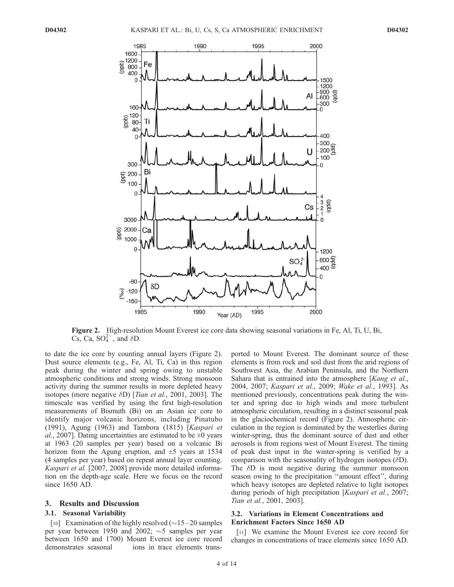

Figure 2. High-resolution Mount Everest ice core data showing seasonal variations in Fe, Al, Ti, U, Bi, Cs, Ca,  $SO_4^{2-}$ , and  $\delta D$ .

to date the ice core by counting annual layers (Figure 2). Dust source elements (e.g., Fe, Al, Ti, Ca) in this region peak during the winter and spring owing to unstable atmospheric conditions and strong winds. Strong monsoon activity during the summer results in more depleted heavy isotopes (more negative  $\delta$ D) [*Tian et al.*, 2001, 2003]. The timescale was verified by using the first high-resolution measurements of Bismuth (Bi) on an Asian ice core to identify major volcanic horizons, including Pinatubo (1991), Agung (1963) and Tambora (1815) [Kaspari et al., 2007]. Dating uncertainties are estimated to be  $\pm 0$  years at 1963 (20 samples per year) based on a volcanic Bi horizon from the Agung eruption, and  $\pm$ 5 years at 1534 (4 samples per year) based on repeat annual layer counting. Kaspari et al. [2007, 2008] provide more detailed information on the depth-age scale. Here we focus on the record since 1650 AD.

#### 3. Results and Discussion

#### 3.1. Seasonal Variability

[10] Examination of the highly resolved  $(\sim 15-20$  samples per year between 1950 and 2002;  $\sim$ 5 samples per year between 1650 and 1700) Mount Everest ice core record demonstrates seasonal ions in trace elements transported to Mount Everest. The dominant source of these elements is from rock and soil dust from the arid regions of Southwest Asia, the Arabian Peninsula, and the Northern Sahara that is entrained into the atmosphere [Kang et al., 2004, 2007; Kaspari et al., 2009; Wake et al., 1993]. As mentioned previously, concentrations peak during the winter and spring due to high winds and more turbulent atmospheric circulation, resulting in a distinct seasonal peak in the glaciochemical record (Figure 2). Atmospheric circulation in the region is dominated by the westerlies during winter-spring, thus the dominant source of dust and other aerosols is from regions west of Mount Everest. The timing of peak dust input in the winter-spring is verified by a comparison with the seasonality of hydrogen isotopes  $(\delta D)$ . The  $\delta$ D is most negative during the summer monsoon season owing to the precipitation ''amount effect'', during which heavy isotopes are depleted relative to light isotopes during periods of high precipitation [Kaspari et al., 2007; Tian et al., 2001, 2003].

# 3.2. Variations in Element Concentrations and Enrichment Factors Since 1650 AD

[11] We examine the Mount Everest ice core record for changes in concentrations of trace elements since 1650 AD.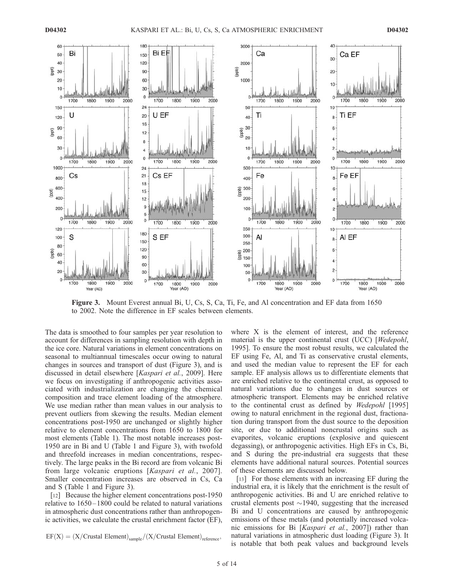

Figure 3. Mount Everest annual Bi, U, Cs, S, Ca, Ti, Fe, and Al concentration and EF data from 1650 to 2002. Note the difference in EF scales between elements.

The data is smoothed to four samples per year resolution to account for differences in sampling resolution with depth in the ice core. Natural variations in element concentrations on seasonal to multiannual timescales occur owing to natural changes in sources and transport of dust (Figure 3), and is discussed in detail elsewhere [Kaspari et al., 2009]. Here we focus on investigating if anthropogenic activities associated with industrialization are changing the chemical composition and trace element loading of the atmosphere. We use median rather than mean values in our analysis to prevent outliers from skewing the results. Median element concentrations post-1950 are unchanged or slightly higher relative to element concentrations from 1650 to 1800 for most elements (Table 1). The most notable increases post-1950 are in Bi and U (Table 1 and Figure 3), with twofold and threefold increases in median concentrations, respectively. The large peaks in the Bi record are from volcanic Bi from large volcanic eruptions [Kaspari et al., 2007]. Smaller concentration increases are observed in Cs, Ca and S (Table 1 and Figure 3).

[12] Because the higher element concentrations post-1950 relative to 1650– 1800 could be related to natural variations in atmospheric dust concentrations rather than anthropogenic activities, we calculate the crustal enrichment factor (EF),

 $EF(X) = (X/Crustal Element)_{sample}/(X/Crustal Element)_{reference}$ 

where X is the element of interest, and the reference material is the upper continental crust (UCC) [*Wedepohl*, 1995]. To ensure the most robust results, we calculated the EF using Fe, Al, and Ti as conservative crustal elements, and used the median value to represent the EF for each sample. EF analysis allows us to differentiate elements that are enriched relative to the continental crust, as opposed to natural variations due to changes in dust sources or atmospheric transport. Elements may be enriched relative to the continental crust as defined by Wedepohl [1995] owing to natural enrichment in the regional dust, fractionation during transport from the dust source to the deposition site, or due to additional noncrustal origins such as evaporites, volcanic eruptions (explosive and quiescent degassing), or anthropogenic activities. High EFs in Cs, Bi, and S during the pre-industrial era suggests that these elements have additional natural sources. Potential sources of these elements are discussed below.

[13] For those elements with an increasing EF during the industrial era, it is likely that the enrichment is the result of anthropogenic activities. Bi and U are enriched relative to crustal elements post  $\sim$ 1940, suggesting that the increased Bi and U concentrations are caused by anthropogenic emissions of these metals (and potentially increased volcanic emissions for Bi [Kaspari et al., 2007]) rather than natural variations in atmospheric dust loading (Figure 3). It is notable that both peak values and background levels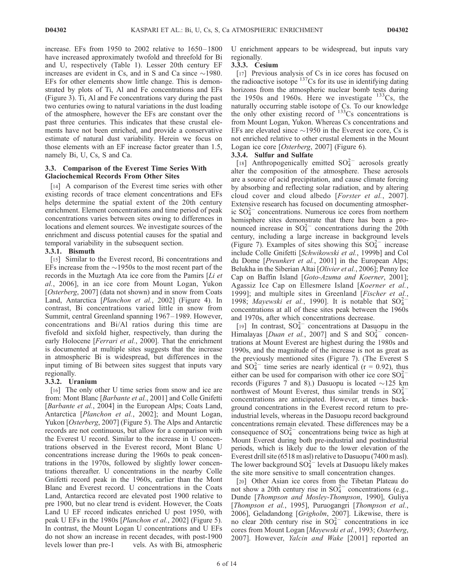increase. EFs from  $1950$  to  $2002$  relative to  $1650-1800$ have increased approximately twofold and threefold for Bi and U, respectively (Table 1). Lesser 20th century EF increases are evident in Cs, and in S and Ca since  $\sim$ 1980. EFs for other elements show little change. This is demonstrated by plots of Ti, Al and Fe concentrations and EFs (Figure 3). Ti, Al and Fe concentrations vary during the past two centuries owing to natural variations in the dust loading of the atmosphere, however the EFs are constant over the past three centuries. This indicates that these crustal elements have not been enriched, and provide a conservative estimate of natural dust variability. Herein we focus on those elements with an EF increase factor greater than 1.5, namely Bi, U, Cs, S and Ca.

#### 3.3. Comparison of the Everest Time Series With Glaciochemical Records From Other Sites

[14] A comparison of the Everest time series with other existing records of trace element concentrations and EFs helps determine the spatial extent of the 20th century enrichment. Element concentrations and time period of peak concentrations varies between sites owing to differences in locations and element sources. We investigate sources of the enrichment and discuss potential causes for the spatial and temporal variability in the subsequent section.

#### 3.3.1. Bismuth

[15] Similar to the Everest record, Bi concentrations and EFs increase from the  $\sim$ 1950s to the most recent part of the records in the Muztagh Ata ice core from the Pamirs [Li et al., 2006], in an ice core from Mount Logan, Yukon [Osterberg, 2007] (data not shown) and in snow from Coats Land, Antarctica [Planchon et al., 2002] (Figure 4). In contrast, Bi concentrations varied little in snow from Summit, central Greenland spanning 1967–1989. However, concentrations and Bi/Al ratios during this time are fivefold and sixfold higher, respectively, than during the early Holocene [Ferrari et al., 2000]. That the enrichment is documented at multiple sites suggests that the increase in atmospheric Bi is widespread, but differences in the input timing of Bi between sites suggest that inputs vary regionally.

#### 3.3.2. Uranium

[16] The only other U time series from snow and ice are from: Mont Blanc [Barbante et al., 2001] and Colle Gnifetti [Barbante et al., 2004] in the European Alps; Coats Land, Antarctica [*Planchon et al.*, 2002]; and Mount Logan, Yukon [Osterberg, 2007] (Figure 5). The Alps and Antarctic records are not continuous, but allow for a comparison with the Everest U record. Similar to the increase in U concentrations observed in the Everest record, Mont Blanc U concentrations increase during the 1960s to peak concentrations in the 1970s, followed by slightly lower concentrations thereafter. U concentrations in the nearby Colle Gnifetti record peak in the 1960s, earlier than the Mont Blanc and Everest record. U concentrations in the Coats Land, Antarctica record are elevated post 1900 relative to pre 1900, but no clear trend is evident. However, the Coats Land U EF record indicates enriched U post 1950, with peak U EFs in the 1980s [Planchon et al., 2002] (Figure 5). In contrast, the Mount Logan U concentrations and U EFs do not show an increase in recent decades, with post-1900 levels lower than pre-1 vels. As with Bi, atmospheric U enrichment appears to be widespread, but inputs vary regionally.

#### 3.3.3. Cesium

[17] Previous analysis of Cs in ice cores has focused on the radioactive isotope  $137$ Cs for its use in identifying dating horizons from the atmospheric nuclear bomb tests during the 1950s and 1960s. Here we investigate  $133Cs$ , the naturally occurring stable isotope of Cs. To our knowledge the only other existing record of  $133Cs$  concentrations is from Mount Logan, Yukon. Whereas Cs concentrations and EFs are elevated since  $\sim$ 1950 in the Everest ice core, Cs is not enriched relative to other crustal elements in the Mount Logan ice core [Osterberg, 2007] (Figure 6).

## 3.3.4. Sulfur and Sulfate

[18] Anthropogenically emitted  $SO_4^{2-}$  aerosols greatly alter the composition of the atmosphere. These aerosols are a source of acid precipitation, and cause climate forcing by absorbing and reflecting solar radiation, and by altering cloud cover and cloud albedo [Forster et al., 2007]. Extensive research has focused on documenting atmospheric  $SO_4^{2-}$  concentrations. Numerous ice cores from northern hemisphere sites demonstrate that there has been a pronounced increase in  $SO_4^{2-}$  concentrations during the 20th century, including a large increase in background levels (Figure 7). Examples of sites showing this  $SO_4^{2-}$  increase include Colle Gnifetti [Schwikowski et al., 1999b] and Col du Dome [Preunkert et al., 2001] in the European Alps; Belukha in the Siberian Altai [Olivier et al., 2006]; Penny Ice Cap on Baffin Island [Goto-Azuma and Koerner, 2001]; Agassiz Ice Cap on Ellesmere Island [Koerner et al., 1999]; and multiple sites in Greenland [Fischer et al., 1998; Mayewski et al., 1990]. It is notable that  $SO_4^{2-}$ concentrations at all of these sites peak between the 1960s and 1970s, after which concentrations decrease.

[19] In contrast,  $SO_4^{2-}$  concentrations at Dasuopu in the Himalayas [*Duan et al.*, 2007] and S and  $SO_4^{2-}$  concentrations at Mount Everest are highest during the 1980s and 1990s, and the magnitude of the increase is not as great as the previously mentioned sites (Figure 7). (The Everest S and  $SO_4^{2-}$  time series are nearly identical (r = 0.92), thus either can be used for comparison with other ice core  $SO_4^{2-}$ records (Figures 7 and 8).) Dasuopu is located  $\sim$ 125 km northwest of Mount Everest, thus similar trends in  $SO_4^{2-}$ concentrations are anticipated. However, at times background concentrations in the Everest record return to preindustrial levels, whereas in the Dasuopu record background concentrations remain elevated. These differences may be a consequence of  $SO_4^{2-}$  concentrations being twice as high at Mount Everest during both pre-industrial and postindustrial periods, which is likely due to the lower elevation of the Everest drill site (6518 m asl) relative to Dasuopu (7400 m asl). The lower background  $SO_4^{2-}$  levels at Dasuopu likely makes the site more sensitive to small concentration changes.

[20] Other Asian ice cores from the Tibetan Plateau do not show a 20th century rise in  $SO_4^{2-}$  concentrations (e.g., Dunde [Thompson and Mosley-Thompson, 1990], Guliya [Thompson et al., 1995], Puruogangri [Thompson et al., 2006], Geladandong [Grigholm, 2007]. Likewise, there is no clear 20th century rise in  $SO_4^{2-}$  concentrations in ice cores from Mount Logan [Mayewski et al., 1993; Osterberg, 2007]. However, Yalcin and Wake [2001] reported an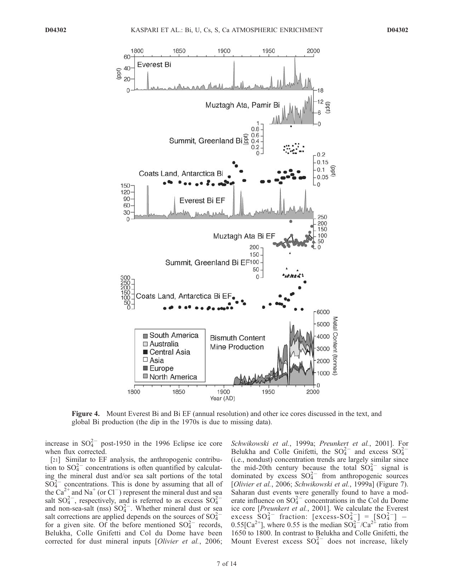

Figure 4. Mount Everest Bi and Bi EF (annual resolution) and other ice cores discussed in the text, and global Bi production (the dip in the 1970s is due to missing data).

increase in  $SO_4^{2-}$  post-1950 in the 1996 Eclipse ice core when flux corrected.

[21] Similar to EF analysis, the anthropogenic contribution to  $SO_4^{2-}$  concentrations is often quantified by calculating the mineral dust and/or sea salt portions of the total  $SO_4^{2-}$  concentrations. This is done by assuming that all of the  $Ca^{2+}$  and Na<sup>+</sup> (or Cl<sup>-</sup>) represent the mineral dust and sea salt  $SO_4^{2-}$ , respectively, and is referred to as excess  $SO_4^{2-}$ and non-sea-salt (nss)  $SO_4^{2-}$ . Whether mineral dust or sea salt corrections are applied depends on the sources of  $SO_4^{2-}$ for a given site. Of the before mentioned  $SO_4^{2-}$  records, Belukha, Colle Gnifetti and Col du Dome have been corrected for dust mineral inputs [Olivier et al., 2006; Schwikowski et al., 1999a; Preunkert et al., 2001]. For Belukha and Colle Gnifetti, the  $SO_4^{2-}$  and excess  $SO_4^{2-}$ (i.e., nondust) concentration trends are largely similar since the mid-20th century because the total  $SO_4^{2-}$  signal is dominated by excess  $SO_4^{2-}$  from anthropogenic sources [Olivier et al., 2006; Schwikowski et al., 1999a] (Figure 7). Saharan dust events were generally found to have a moderate influence on  $SO_4^{2-}$  concentrations in the Col du Dome ice core [Preunkert et al., 2001]. We calculate the Everest excess  $SO_4^{2-}$  fraction:  $[excess-SO_4^{2-}] = [SO_4^{2-}] -$ 0.55[Ca<sup>2+</sup>], where 0.55 is the median  $SO_4^{2-}/Ca^{2+}$  ratio from 1650 to 1800. In contrast to Belukha and Colle Gnifetti, the Mount Everest excess  $SO_4^{2-}$  does not increase, likely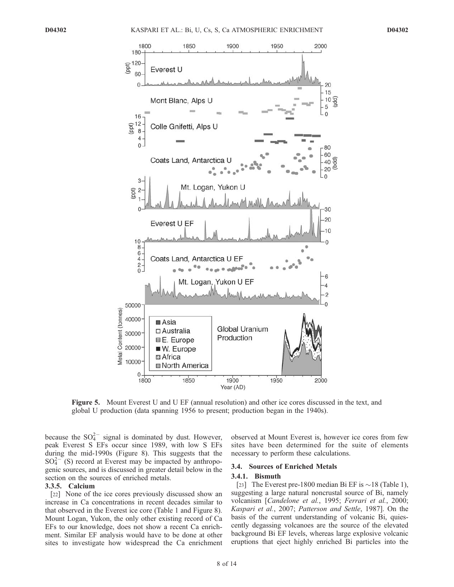

Figure 5. Mount Everest U and U EF (annual resolution) and other ice cores discussed in the text, and global U production (data spanning 1956 to present; production began in the 1940s).

because the  $SO_4^{2-}$  signal is dominated by dust. However, peak Everest S EFs occur since 1989, with low S EFs during the mid-1990s (Figure 8). This suggests that the  $SO_4^{2-}$  (S) record at Everest may be impacted by anthropogenic sources, and is discussed in greater detail below in the section on the sources of enriched metals.

#### 3.3.5. Calcium

[22] None of the ice cores previously discussed show an increase in Ca concentrations in recent decades similar to that observed in the Everest ice core (Table 1 and Figure 8). Mount Logan, Yukon, the only other existing record of Ca EFs to our knowledge, does not show a recent Ca enrichment. Similar EF analysis would have to be done at other sites to investigate how widespread the Ca enrichment

observed at Mount Everest is, however ice cores from few sites have been determined for the suite of elements necessary to perform these calculations.

#### 3.4. Sources of Enriched Metals

#### 3.4.1. Bismuth

[23] The Everest pre-1800 median Bi EF is  $\sim$  18 (Table 1), suggesting a large natural noncrustal source of Bi, namely volcanism [Candelone et al., 1995; Ferrari et al., 2000; Kaspari et al., 2007; Patterson and Settle, 1987]. On the basis of the current understanding of volcanic Bi, quiescently degassing volcanoes are the source of the elevated background Bi EF levels, whereas large explosive volcanic eruptions that eject highly enriched Bi particles into the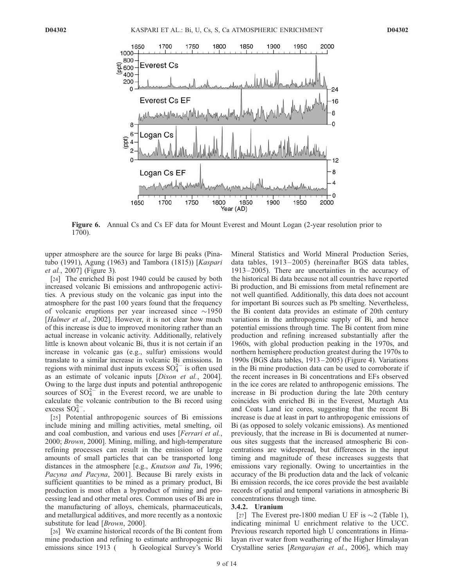

Figure 6. Annual Cs and Cs EF data for Mount Everest and Mount Logan (2-year resolution prior to 1700).

upper atmosphere are the source for large Bi peaks (Pinatubo (1991), Agung (1963) and Tambora (1815)) [Kaspari et al., 2007] (Figure 3).

[24] The enriched Bi post 1940 could be caused by both increased volcanic Bi emissions and anthropogenic activities. A previous study on the volcanic gas input into the atmosphere for the past 100 years found that the frequency of volcanic eruptions per year increased since  $\sim$ 1950 [Halmer et al., 2002]. However, it is not clear how much of this increase is due to improved monitoring rather than an actual increase in volcanic activity. Additionally, relatively little is known about volcanic Bi, thus it is not certain if an increase in volcanic gas (e.g., sulfur) emissions would translate to a similar increase in volcanic Bi emissions. In regions with minimal dust inputs excess  $SO_4^{2-}$  is often used as an estimate of volcanic inputs [Dixon et al., 2004]. Owing to the large dust inputs and potential anthropogenic sources of  $SO_4^{2-}$  in the Everest record, we are unable to calculate the volcanic contribution to the Bi record using excess  $SO_4^{2-}$ .

[25] Potential anthropogenic sources of Bi emissions include mining and milling activities, metal smelting, oil and coal combustion, and various end uses [*Ferrari et al.*, 2000; Brown, 2000]. Mining, milling, and high-temperature refining processes can result in the emission of large amounts of small particles that can be transported long distances in the atmosphere [e.g., Knutson and Tu, 1996; Pacyna and Pacyna, 2001]. Because Bi rarely exists in sufficient quantities to be mined as a primary product, Bi production is most often a byproduct of mining and processing lead and other metal ores. Common uses of Bi are in the manufacturing of alloys, chemicals, pharmaceuticals, and metallurgical additives, and more recently as a nontoxic substitute for lead [*Brown*, 2000].

[26] We examine historical records of the Bi content from mine production and refining to estimate anthropogenic Bi emissions since 1913 ( h Geological Survey's World Mineral Statistics and World Mineral Production Series, data tables, 1913-2005) (hereinafter BGS data tables, 1913 – 2005). There are uncertainties in the accuracy of the historical Bi data because not all countries have reported Bi production, and Bi emissions from metal refinement are not well quantified. Additionally, this data does not account for important Bi sources such as Pb smelting. Nevertheless, the Bi content data provides an estimate of 20th century variations in the anthropogenic supply of Bi, and hence potential emissions through time. The Bi content from mine production and refining increased substantially after the 1960s, with global production peaking in the 1970s, and northern hemisphere production greatest during the 1970s to 1990s (BGS data tables, 1913 – 2005) (Figure 4). Variations in the Bi mine production data can be used to corroborate if the recent increases in Bi concentrations and EFs observed in the ice cores are related to anthropogenic emissions. The increase in Bi production during the late 20th century coincides with enriched Bi in the Everest, Muztagh Ata and Coats Land ice cores, suggesting that the recent Bi increase is due at least in part to anthropogenic emissions of Bi (as opposed to solely volcanic emissions). As mentioned previously, that the increase in Bi is documented at numerous sites suggests that the increased atmospheric Bi concentrations are widespread, but differences in the input timing and magnitude of these increases suggests that emissions vary regionally. Owing to uncertainties in the accuracy of the Bi production data and the lack of volcanic Bi emission records, the ice cores provide the best available records of spatial and temporal variations in atmospheric Bi concentrations through time.

#### 3.4.2. Uranium

[27] The Everest pre-1800 median U EF is  $\sim$  2 (Table 1), indicating minimal U enrichment relative to the UCC. Previous research reported high U concentrations in Himalayan river water from weathering of the Higher Himalayan Crystalline series [Rengarajan et al., 2006], which may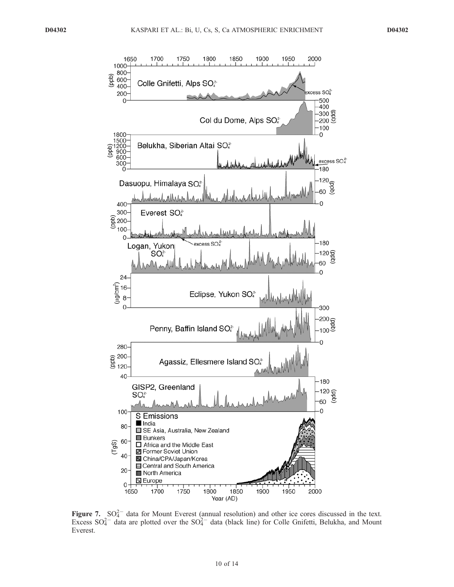

Figure 7.  $SO_4^{2-}$  data for Mount Everest (annual resolution) and other ice cores discussed in the text. Excess  $SO_4^{2-}$  data are plotted over the  $SO_4^{2-}$  data (black line) for Colle Gnifetti, Belukha, and Mount Everest.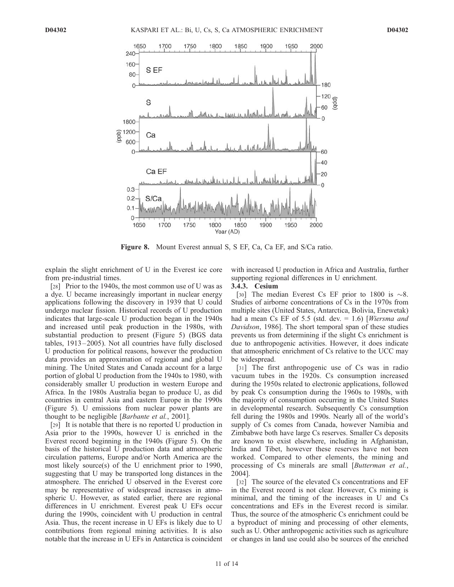

Figure 8. Mount Everest annual S, S EF, Ca, Ca EF, and S/Ca ratio.

explain the slight enrichment of U in the Everest ice core from pre-industrial times.

[28] Prior to the 1940s, the most common use of U was as a dye. U became increasingly important in nuclear energy applications following the discovery in 1939 that U could undergo nuclear fission. Historical records of U production indicates that large-scale U production began in the 1940s and increased until peak production in the 1980s, with substantial production to present (Figure 5) (BGS data tables, 1913 –2005). Not all countries have fully disclosed U production for political reasons, however the production data provides an approximation of regional and global U mining. The United States and Canada account for a large portion of global U production from the 1940s to 1980, with considerably smaller U production in western Europe and Africa. In the 1980s Australia began to produce U, as did countries in central Asia and eastern Europe in the 1990s (Figure 5). U emissions from nuclear power plants are thought to be negligible [Barbante et al., 2001].

[29] It is notable that there is no reported U production in Asia prior to the 1990s, however U is enriched in the Everest record beginning in the 1940s (Figure 5). On the basis of the historical U production data and atmospheric circulation patterns, Europe and/or North America are the most likely source(s) of the U enrichment prior to 1990, suggesting that U may be transported long distances in the atmosphere. The enriched U observed in the Everest core may be representative of widespread increases in atmospheric U. However, as stated earlier, there are regional differences in U enrichment. Everest peak U EFs occur during the 1990s, coincident with U production in central Asia. Thus, the recent increase in U EFs is likely due to U contributions from regional mining activities. It is also notable that the increase in U EFs in Antarctica is coincident with increased U production in Africa and Australia, further supporting regional differences in U enrichment.

#### 3.4.3. Cesium

[30] The median Everest Cs EF prior to 1800 is  $\sim 8$ . Studies of airborne concentrations of Cs in the 1970s from multiple sites (United States, Antarctica, Bolivia, Enewetak) had a mean Cs EF of 5.5 (std. dev.  $= 1.6$ ) [*Wiersma and* Davidson, 1986]. The short temporal span of these studies prevents us from determining if the slight Cs enrichment is due to anthropogenic activities. However, it does indicate that atmospheric enrichment of Cs relative to the UCC may be widespread.

[31] The first anthropogenic use of Cs was in radio vacuum tubes in the 1920s. Cs consumption increased during the 1950s related to electronic applications, followed by peak Cs consumption during the 1960s to 1980s, with the majority of consumption occurring in the United States in developmental research. Subsequently Cs consumption fell during the 1980s and 1990s. Nearly all of the world's supply of Cs comes from Canada, however Namibia and Zimbabwe both have large Cs reserves. Smaller Cs deposits are known to exist elsewhere, including in Afghanistan, India and Tibet, however these reserves have not been worked. Compared to other elements, the mining and processing of Cs minerals are small [Butterman et al., 2004].

[32] The source of the elevated Cs concentrations and EF in the Everest record is not clear. However, Cs mining is minimal, and the timing of the increases in U and Cs concentrations and EFs in the Everest record is similar. Thus, the source of the atmospheric Cs enrichment could be a byproduct of mining and processing of other elements, such as U. Other anthropogenic activities such as agriculture or changes in land use could also be sources of the enriched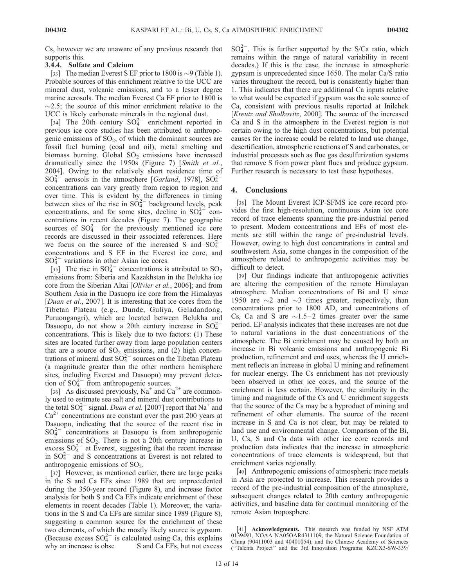Cs, however we are unaware of any previous research that supports this.

# 3.4.4. Sulfate and Calcium

[33] The median Everest S EF prior to 1800 is  $\sim$ 9 (Table 1). Probable sources of this enrichment relative to the UCC are mineral dust, volcanic emissions, and to a lesser degree marine aerosols. The median Everest Ca EF prior to 1800 is  $\sim$ 2.5; the source of this minor enrichment relative to the UCC is likely carbonate minerals in the regional dust.

[34] The 20th century  $SO_4^{2-}$  enrichment reported in previous ice core studies has been attributed to anthropogenic emissions of  $SO<sub>2</sub>$ , of which the dominant sources are fossil fuel burning (coal and oil), metal smelting and biomass burning. Global  $SO<sub>2</sub>$  emissions have increased dramatically since the 1950s (Figure 7) [Smith et al., 2004]. Owing to the relatively short residence time of  $SO_4^{2-}$  aerosols in the atmosphere [*Garland*, 1978],  $SO_4^{2-}$ concentrations can vary greatly from region to region and over time. This is evident by the differences in timing between sites of the rise in  $SO_4^{2-}$  background levels, peak concentrations, and for some sites, decline in  $SO_4^{2-}$  concentrations in recent decades (Figure 7). The geographic sources of  $SO_4^{2-}$  for the previously mentioned ice core records are discussed in their associated references. Here we focus on the source of the increased S and  $SO_4^{2-}$ concentrations and S EF in the Everest ice core, and  $SO_4^{2-}$  variations in other Asian ice cores.

[35] The rise in  $SO_4^{2-}$  concentrations is attributed to  $SO_2$ emissions from: Siberia and Kazakhstan in the Belukha ice core from the Siberian Altai [Olivier et al., 2006]; and from Southern Asia in the Dasuopu ice core from the Himalayas [*Duan et al.*, 2007]. It is interesting that ice cores from the Tibetan Plateau (e.g., Dunde, Guliya, Geladandong, Puruongangri), which are located between Belukha and Dasuopu, do not show a 20th century increase in  $SO_4^{2-}$ concentrations. This is likely due to two factors: (1) These sites are located further away from large population centers that are a source of  $SO_2$  emissions, and (2) high concentrations of mineral dust  $SO_4^{2-}$  sources on the Tibetan Plateau (a magnitude greater than the other northern hemisphere sites, including Everest and Dasuopu) may prevent detection of  $SO_4^{2-}$  from anthropogenic sources.

[36] As discussed previously,  $Na^+$  and  $Ca^{2+}$  are commonly used to estimate sea salt and mineral dust contributions to the total  $SO_4^{2-}$  signal. *Duan et al.* [2007] report that  $Na^+$  and  $Ca<sup>2+</sup>$  concentrations are constant over the past 200 years at Dasuopu, indicating that the source of the recent rise in  $SO_4^{2-}$  concentrations at Dasuopu is from anthropogenic emissions of  $SO_2$ . There is not a 20th century increase in excess  $SO_4^{2-}$  at Everest, suggesting that the recent increase in  $SO_4^{2-}$  and S concentrations at Everest is not related to anthropogenic emissions of  $SO<sub>2</sub>$ .

[37] However, as mentioned earlier, there are large peaks in the S and Ca EFs since 1989 that are unprecedented during the 350-year record (Figure 8), and increase factor analysis for both S and Ca EFs indicate enrichment of these elements in recent decades (Table 1). Moreover, the variations in the S and Ca EFs are similar since 1989 (Figure 8), suggesting a common source for the enrichment of these two elements, of which the mostly likely source is gypsum. (Because excess  $SO_4^{2-}$  is calculated using Ca, this explains why an increase is obse S and Ca EFs, but not excess

 $SO_4^{2-}$ . This is further supported by the S/Ca ratio, which remains within the range of natural variability in recent decades.) If this is the case, the increase in atmospheric gypsum is unprecedented since 1650. The molar Ca/S ratio varies throughout the record, but is consistently higher than 1. This indicates that there are additional Ca inputs relative to what would be expected if gypsum was the sole source of Ca, consistent with previous results reported at Inilchek [Kreutz and Sholkovitz, 2000]. The source of the increased Ca and S in the atmosphere in the Everest region is not certain owing to the high dust concentrations, but potential causes for the increase could be related to land use change, desertification, atmospheric reactions of S and carbonates, or industrial processes such as flue gas desulfurization systems that remove S from power plant flues and produce gypsum. Further research is necessary to test these hypotheses.

#### 4. Conclusions

[38] The Mount Everest ICP-SFMS ice core record provides the first high-resolution, continuous Asian ice core record of trace elements spanning the pre-industrial period to present. Modern concentrations and EFs of most elements are still within the range of pre-industrial levels. However, owing to high dust concentrations in central and southwestern Asia, some changes in the composition of the atmosphere related to anthropogenic activities may be difficult to detect.

[39] Our findings indicate that anthropogenic activities are altering the composition of the remote Himalayan atmosphere. Median concentrations of Bi and U since 1950 are  $\sim$ 2 and  $\sim$ 3 times greater, respectively, than concentrations prior to 1800 AD, and concentrations of Cs, Ca and S are  $\sim$ 1.5–2 times greater over the same period. EF analysis indicates that these increases are not due to natural variations in the dust concentrations of the atmosphere. The Bi enrichment may be caused by both an increase in Bi volcanic emissions and anthropogenic Bi production, refinement and end uses, whereas the U enrichment reflects an increase in global U mining and refinement for nuclear energy. The Cs enrichment has not previously been observed in other ice cores, and the source of the enrichment is less certain. However, the similarity in the timing and magnitude of the Cs and U enrichment suggests that the source of the Cs may be a byproduct of mining and refinement of other elements. The source of the recent increase in S and Ca is not clear, but may be related to land use and environmental change. Comparison of the Bi, U, Cs, S and Ca data with other ice core records and production data indicates that the increase in atmospheric concentrations of trace elements is widespread, but that enrichment varies regionally.

[40] Anthropogenic emissions of atmospheric trace metals in Asia are projected to increase. This research provides a record of the pre-industrial composition of the atmosphere, subsequent changes related to 20th century anthropogenic activities, and baseline data for continual monitoring of the remote Asian troposphere.

<sup>[41]</sup> Acknowledgments. This research was funded by NSF ATM 0139491, NOAA NA05OAR4311109, the Natural Science Foundation of China (90411003 and 40401054), and the Chinese Academy of Sciences (''Talents Project'' and the 3rd Innovation Programs: KZCX3-SW-339/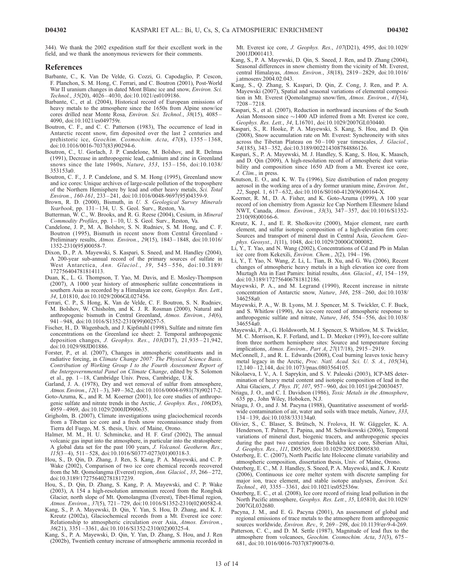344). We thank the 2002 expedition staff for their excellent work in the field, and we thank the anonymous reviewers for their comments.

#### References

- Barbante, C., K. Van De Velde, G. Cozzi, G. Capodaglio, P. Cescon, F. Planchon, S. M. Hong, C. Ferrari, and C. Boutron (2001), Post-World War II uranium changes in dated Mont Blanc ice and snow, Environ. Sci. Technol., 35(20), 4026 – 4030, doi:10.1021/es0109186.
- Barbante, C., et al. (2004), Historical record of European emissions of heavy metals to the atmosphere since the 1650s from Alpine snow/ice cores drilled near Monte Rosa, Environ. Sci. Technol., 38(15), 4085-4090, doi:10.1021/es049759r.
- Boutron, C. F., and C. C. Patterson (1983), The occurrence of lead in Antarctic recent snow, firn deposited over the last 2 centuries and prehistoric ice, Geochim. Cosmochim. Acta, 47(8), 1355-1368, doi:10.1016/0016-7037(83)90294-6.
- Boutron, C., U. Gorlach, J. P. Candelone, M. Bolshov, and R. Delmas (1991), Decrease in anthropogenic lead, cadmium and zinc in Greenland snows since the late 1960s, Nature, 353, 153-156, doi:10.1038/ 353153a0.
- Boutron, C. F., J. P. Candelone, and S. M. Hong (1995), Greenland snow and ice cores: Unique archives of large-scale pollution of the troposphere of the Northern Hemisphere by lead and other heavy metals, Sci. Total Environ., 160-161, 233 – 241, doi:10.1016/0048-9697(95)04359-9.
- Brown, R. D. (2000), Bismuth, in U. S. Geological Survey Minerals Yearbook, pp. 131-134, U. S. Geol. Surv., Reston, Va.
- Butterman, W. C., W. Brooks, and R. G. Reese (2004), Cesium, in Mineral Commodity Profiles, pp. 1 – 10, U. S. Geol. Surv., Reston, Va.
- Candelone, J. P., M. A. Bolshov, S. N. Rudniev, S. M. Hong, and C. F. Boutron (1995), Bismuth in recent snow from Central Greenland - Preliminary results, Atmos. Environ., 29(15), 1843 – 1848, doi:10.1016/ 1352-2310(95)00058-7.
- Dixon, D., P. A. Mayewski, S. Kaspari, S. Sneed, and M. Handley (2004), A 200-year sub-annual record of the primary sources of sulfate in West Antarctica, Ann. Glaciol., 39, 545 – 556, doi:10.3189/ 172756404781814113.
- Duan, K., L. G. Thompson, T. Yao, M. Davis, and E. Mosley-Thompson (2007), A 1000 year history of atmospheric sulfate concentrations in southern Asia as recorded by a Himalayan ice core, Geophys. Res. Lett., 34, L01810, doi:10.1029/2006GL027456.
- Ferrari, C. P., S. Hong, K. Van de Velde, C. F. Boutron, S. N. Rudniev, M. Bolshov, W. Chisholm, and K. J. R. Rosman (2000), Natural and anthropogenic bismuth in Central Greenland, Atmos. Environ., 34(6), 941 – 948, doi:10.1016/S1352-2310(99)00257-5.
- Fischer, H., D. Wagenbach, and J. Kipfstuhl (1998), Sulfate and nitrate firn concentrations on the Greenland ice sheet: 2. Temporal anthropogenic deposition changes, *J. Geophys. Res.*, 103(D17), 21,935-21,942, doi:10.1029/98JD01886.
- Forster, P., et al. (2007), Changes in atmospheric constituents and in radiative forcing, in Climate Change 2007: The Physical Science Basis. Contribution of Working Group I to the Fourth Assessment Report of the Intergovernmental Panel on Climate Change, edited by S. Solomon et al., pp. 1 – 18, Cambridge Univ. Press, Cambridge, U.K.
- Garland, J. A. (1978), Dry and wet removal of sulfur from atmosphere, Atmos. Environ., 12(1-3), 349-362, doi:10.1016/0004-6981(78)90217-2.
- Goto-Azuma, K., and R. M. Koerner (2001), Ice core studies of anthropogenic sulfate and nitrate trends in the Arctic, J. Geophys. Res., 106(D5), 4959 – 4969, doi:10.1029/2000JD900635.
- Grigholm, B. (2007), Climate investigations using glaciochemical records from a Tibetan ice core and a fresh snow reconnaissance study from Tierra del Fuego, M. S. thesis, Univ. of Maine, Orono.
- Halmer, M. M., H. U. Schmincke, and H. F. Graf (2002), The annual volcanic gas input into the atmosphere, in particular into the stratosphere: A global data set for the past 100 years, J. Volcanol. Geotherm. Res., 115(3 – 4), 511 – 528, doi:10.1016/S0377-0273(01)00318-3.
- Hou, S., D. Qin, D. Zhang, J. Ren, S. Kang, P. A. Mayewski, and C. P. Wake (2002), Comparison of two ice core chemical records recovered from the Mt. Qomolangma (Everest) region, Ann. Glaciol., 35, 266-272, doi:10.3189/172756402781817239.
- Hou, S., D. Qin, D. Zhang, S. Kang, P. A. Mayewski, and C. P. Wake (2003), A 154 a high-resolution ammonium record from the Rongbuk Glacier, north slope of Mt. Qomolangma (Everest), Tibet-Himal region, Atmos. Environ., 37(5), 721-729, doi:10.1016/S1352-2310(02)00582-4.
- Kang, S., P. A. Mayewski, D. Qin, Y. Yan, S. Hou, D. Zhang, and K. J. Kreutz (2002a), Glaciochemical records from a Mt. Everest ice core: Relationship to atmospheric circulation over Asia, Atmos. Environ., 36(21), 3351 – 3361, doi:10.1016/S1352-2310(02)00325-4.
- Kang, S., P. A. Mayewski, D. Qin, Y. Yan, D. Zhang, S. Hou, and J. Ren (2002b), Twentieth century increase of atmospheric ammonia recorded in

Mt. Everest ice core, J. Geophys. Res., 107(D21), 4595, doi:10.1029/ 2001JD001413.

- Kang, S., P. A. Mayewski, D. Qin, S. Sneed, J. Ren, and D. Zhang (2004), Seasonal differences in snow chemistry from the vicinity of Mt. Everest, central Himalayas, Atmos. Environ., 38(18), 2819 – 2829, doi:10.1016/ j.atmosenv.2004.02.043.
- Kang, S., Q. Zhang, S. Kaspari, D. Qin, Z. Cong, J. Ren, and P. A. Mayewski (2007), Spatial and seasonal variations of elemental composition in Mt. Everest (Qomolangma) snow/firn, Atmos. Environ., 41(34), 7208 – 7218.
- Kaspari, S., et al. (2007), Reduction in northward incursions of the South Asian Monsoon since  $\sim$ 1400 AD inferred from a Mt. Everest ice core, Geophys. Res. Lett., 34, L16701, doi:10.1029/2007GL030440.
- Kaspari, S., R. Hooke, P. A. Mayewski, S. Kang, S. Hou, and D. Qin (2008), Snow accumulation rate on Mt. Everest: Synchroneity with sites across the Tibetan Plateau on  $50-100$  year timescales, J. Glaciol., 54(185), 343 – 352, doi:10.3189/002214308784886126.
- Kaspari, S., P. A. Mayewski, M. J. Handley, S. Kang, S. Hou, K. Maasch, and D. Qin (2009), A high-resolution record of atmospheric dust variability and composition since 1650 AD from a Mt. Everest ice core, J. Clim., in press.
- Knutson, E. O., and K. W. Tu (1996), Size distribution of radon progeny aerosol in the working area of a dry former uranium mine, Environ. Int., 22, Suppl. 1, 617 – 632, doi:10.1016/S0160-4120(96)00164-X.
- Koerner, R. M., D. A. Fisher, and K. Goto-Azuma (1999), A 100 year record of ion chemistry from Agassiz Ice Cap Northern Ellesmere Island NWT, Canada, Atmos. Environ., 33(3), 347 – 357, doi:10.1016/S1352- 2310(98)00166-6.
- Kreutz, K. J., and E. R. Sholkovitz (2000), Major element, rare earth element, and sulfur isotopic composition of a high-elevation firn core: Sources and transport of mineral dust in Central Asia, Geochem. Geophys. Geosyst., 1(11), 1048, doi:10.1029/2000GC000082.
- Li, Y., T. Yao, and N. Wang (2002), Concentrations of Cd and Pb in Malan ice core from Kekexili, Environ. Chem., 2(2), 194 – 196.
- Li, Y., T. Yao, N. Wang, Z. Li, L. Tian, B. Xu, and G. Wu (2006), Recent changes of atmospheric heavy metals in a high elevation ice core from Muztagh Ata in East Pamirs: Initial results, Ann. Glaciol., 43, 154 – 159, doi:10.3189/172756406781812186.
- Mayewski, P. A., and M. Legrand (1990), Recent increase in nitrate concentration of Antarctic snow, Nature, 346, 258 – 260, doi:10.1038/ 346258a0.
- Mayewski, P. A., W. B. Lyons, M. J. Spencer, M. S. Twickler, C. F. Buck, and S. Whitlow (1990), An ice-core record of atmospheric response to anthropogenic sulfate and nitrate, Nature, 346, 554 – 556, doi:10.1038/ 346554a0.
- Mayewski, P. A., G. Holdsworth, M. J. Spencer, S. Whitlow, M. S. Twickler, M. C. Morrison, K. F. Ferland, and L. D. Meeker (1993), Ice-core sulfate from three northern hemisphere sites: Source and temperature forcing implications, Atmos. Environ., Part A, 27(17/18), 2915 – 2919.
- McConnell, J., and R. L. Edwards (2008), Coal burning leaves toxic heavy metal legacy in the Arctic, Proc. Natl. Acad. Sci. U. S. A., 105(34), 12,140 – 12,144, doi:10.1073/pnas.0803564105.
- Nikolaeva, I. V., A. I. Saprykin, and S. V. Palesski (2003), ICP-MS determination of heavy metal content and isotopic composition of lead in the Altai Glaciers, J. Phys. IV, 107, 957 – 960, doi:10.1051/jp4:20030457.
- Nriagu, J. O., and C. I. Davidson (1986), Toxic Metals in the Atmosphere, 635 pp., John Wiley, Hoboken, N.J.
- Nriagu, J. O., and J. M. Pacyna (1988), Quantitative assessment of worldwide contamination of air, water and soils with trace metals, *Nature*, 333, 134 – 139, doi:10.1038/333134a0.
- Olivier, S., C. Blaser, S. Brütsch, N. Frolova, H. W. Gäggeler, K. A. Henderson, T. Palmer, T. Papina, and M. Schwikowski (2006), Temporal variations of mineral dust, biogenic tracers, and anthropogenic species during the past two centuries from Belukha ice core, Siberian Altai, J. Geophys. Res., 111, D05309, doi:10.1029/2005JD005830.
- Osterberg, E. C. (2007), North Pacific late Holocene climate variability and atmospheric composition, dissertation thesis, Univ. of Maine, Orono.
- Osterberg, E. C., M. J. Handley, S. Sneed, P. A. Mayewski, and K. J. Kreutz (2006), Continuous ice core melter system with discrete sampling for major ion, trace element, and stable isotope analyses, Environ. Sci. Technol., 40, 3355 – 3361, doi:10.1021/es052536w.
- Osterberg, E. C., et al. (2008), Ice core record of rising lead pollution in the North Pacific atmosphere, Geophys. Res. Lett., 35, L05810, doi:10.1029/ 2007GL032680.
- Pacyna, J. M., and E. G. Pacyna (2001), An assessment of global and regional emissions of trace metals to the atmosphere from anthropogenic sources worldwide, Environ. Rev., 9, 269 – 298, doi:10.1139/er-9-4-269.
- Patterson, C. C., and D. M. Settle (1987), Magnitude of lead flux to the atmosphere from volcanoes, Geochim. Cosmochim. Acta, 51(3), 675-681, doi:10.1016/0016-7037(87)90078-0.